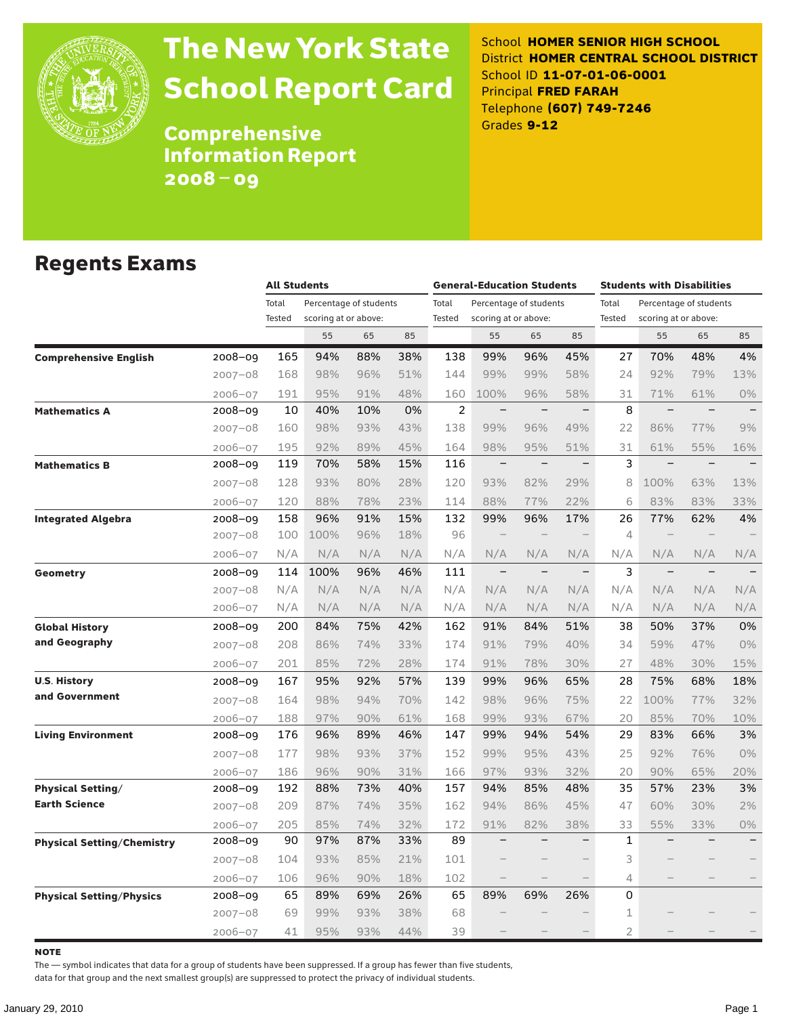

# The New York State School Report Card

School **HOMER SENIOR HIGH SCHOOL** District **HOMER CENTRAL SCHOOL DISTRICT** School ID **11-07-01-06-0001** Principal **FRED FARAH** Telephone **(607) 749-7246** Grades **9-12**

**Comprehensive** Information Report 2008–09

### Regents Exams

|                                   |             | <b>All Students</b> |                        |     |     | <b>General-Education Students</b> |                          |                          |                          | <b>Students with Disabilities</b> |                          |                          |                          |
|-----------------------------------|-------------|---------------------|------------------------|-----|-----|-----------------------------------|--------------------------|--------------------------|--------------------------|-----------------------------------|--------------------------|--------------------------|--------------------------|
|                                   |             | Total               | Percentage of students |     |     | Total                             | Percentage of students   |                          |                          | Total<br>Percentage of students   |                          |                          |                          |
|                                   |             | Tested              | scoring at or above:   |     |     | <b>Tested</b>                     | scoring at or above:     |                          |                          | Tested                            | scoring at or above:     |                          |                          |
|                                   |             |                     | 55                     | 65  | 85  |                                   | 55                       | 65                       | 85                       |                                   | 55                       | 65                       | 85                       |
| <b>Comprehensive English</b>      | $2008 - 09$ | 165                 | 94%                    | 88% | 38% | 138                               | 99%                      | 96%                      | 45%                      | 27                                | 70%                      | 48%                      | 4%                       |
|                                   | $2007 - 08$ | 168                 | 98%                    | 96% | 51% | 144                               | 99%                      | 99%                      | 58%                      | 24                                | 92%                      | 79%                      | 13%                      |
|                                   | $2006 - 07$ | 191                 | 95%                    | 91% | 48% | 160                               | 100%                     | 96%                      | 58%                      | 31                                | 71%                      | 61%                      | 0%                       |
| <b>Mathematics A</b>              | 2008-09     | 10                  | 40%                    | 10% | 0%  | $\overline{2}$                    | $\overline{\phantom{a}}$ | $\overline{\phantom{0}}$ | $\qquad \qquad -$        | 8                                 | $\overline{\phantom{0}}$ | $\equiv$                 |                          |
|                                   | $2007 - 08$ | 160                 | 98%                    | 93% | 43% | 138                               | 99%                      | 96%                      | 49%                      | 22                                | 86%                      | 77%                      | 9%                       |
|                                   | $2006 - 07$ | 195                 | 92%                    | 89% | 45% | 164                               | 98%                      | 95%                      | 51%                      | 31                                | 61%                      | 55%                      | 16%                      |
| <b>Mathematics B</b>              | 2008-09     | 119                 | 70%                    | 58% | 15% | 116                               | $\qquad \qquad -$        | $\overline{\phantom{0}}$ | $\overline{\phantom{0}}$ | 3                                 | $\overline{\phantom{0}}$ | $\overline{\phantom{0}}$ |                          |
|                                   | $2007 - 08$ | 128                 | 93%                    | 80% | 28% | 120                               | 93%                      | 82%                      | 29%                      | 8                                 | 100%                     | 63%                      | 13%                      |
|                                   | $2006 - 07$ | 120                 | 88%                    | 78% | 23% | 114                               | 88%                      | 77%                      | 22%                      | 6                                 | 83%                      | 83%                      | 33%                      |
| <b>Integrated Algebra</b>         | 2008-09     | 158                 | 96%                    | 91% | 15% | 132                               | 99%                      | 96%                      | 17%                      | 26                                | 77%                      | 62%                      | 4%                       |
|                                   | $2007 - 08$ | 100                 | 100%                   | 96% | 18% | 96                                |                          |                          |                          | $\overline{4}$                    |                          |                          |                          |
|                                   | $2006 - 07$ | N/A                 | N/A                    | N/A | N/A | N/A                               | N/A                      | N/A                      | N/A                      | N/A                               | N/A                      | N/A                      | N/A                      |
| <b>Geometry</b>                   | 2008-09     | 114                 | 100%                   | 96% | 46% | 111                               | $\overline{\phantom{0}}$ | $\overline{\phantom{0}}$ | $\qquad \qquad -$        | 3                                 | $\overline{\phantom{0}}$ | $\overline{\phantom{0}}$ |                          |
|                                   | $2007 - 08$ | N/A                 | N/A                    | N/A | N/A | N/A                               | N/A                      | N/A                      | N/A                      | N/A                               | N/A                      | N/A                      | N/A                      |
|                                   | $2006 - 07$ | N/A                 | N/A                    | N/A | N/A | N/A                               | N/A                      | N/A                      | N/A                      | N/A                               | N/A                      | N/A                      | N/A                      |
| <b>Global History</b>             | 2008-09     | 200                 | 84%                    | 75% | 42% | 162                               | 91%                      | 84%                      | 51%                      | 38                                | 50%                      | 37%                      | 0%                       |
| and Geography                     | $2007 - 08$ | 208                 | 86%                    | 74% | 33% | 174                               | 91%                      | 79%                      | 40%                      | 34                                | 59%                      | 47%                      | 0%                       |
|                                   | $2006 - 07$ | 201                 | 85%                    | 72% | 28% | 174                               | 91%                      | 78%                      | 30%                      | 27                                | 48%                      | 30%                      | 15%                      |
| <b>U.S. History</b>               | 2008-09     | 167                 | 95%                    | 92% | 57% | 139                               | 99%                      | 96%                      | 65%                      | 28                                | 75%                      | 68%                      | 18%                      |
| and Government                    | $2007 - 08$ | 164                 | 98%                    | 94% | 70% | 142                               | 98%                      | 96%                      | 75%                      | 22                                | 100%                     | 77%                      | 32%                      |
|                                   | $2006 - 07$ | 188                 | 97%                    | 90% | 61% | 168                               | 99%                      | 93%                      | 67%                      | 20                                | 85%                      | 70%                      | 10%                      |
| <b>Living Environment</b>         | 2008-09     | 176                 | 96%                    | 89% | 46% | 147                               | 99%                      | 94%                      | 54%                      | 29                                | 83%                      | 66%                      | 3%                       |
|                                   | $2007 - 08$ | 177                 | 98%                    | 93% | 37% | 152                               | 99%                      | 95%                      | 43%                      | 25                                | 92%                      | 76%                      | 0%                       |
|                                   | $2006 - 07$ | 186                 | 96%                    | 90% | 31% | 166                               | 97%                      | 93%                      | 32%                      | 20                                | 90%                      | 65%                      | 20%                      |
| <b>Physical Setting/</b>          | 2008-09     | 192                 | 88%                    | 73% | 40% | 157                               | 94%                      | 85%                      | 48%                      | 35                                | 57%                      | 23%                      | 3%                       |
| <b>Earth Science</b>              | $2007 - 08$ | 209                 | 87%                    | 74% | 35% | 162                               | 94%                      | 86%                      | 45%                      | 47                                | 60%                      | 30%                      | 2%                       |
|                                   | $2006 - 07$ | 205                 | 85%                    | 74% | 32% | 172                               | 91%                      | 82%                      | 38%                      | 33                                | 55%                      | 33%                      | 0%                       |
| <b>Physical Setting/Chemistry</b> | 2008-09     | 90                  | 97%                    | 87% | 33% | 89                                | $\overline{\phantom{0}}$ | $\overline{\phantom{0}}$ | $\overline{\phantom{0}}$ | $\mathbf{1}$                      |                          |                          | $\overline{\phantom{0}}$ |
|                                   | $2007 - 08$ | 104                 | 93%                    | 85% | 21% | 101                               |                          |                          | $\overline{\phantom{0}}$ | 3                                 |                          |                          |                          |
|                                   | $2006 - 07$ | 106                 | 96%                    | 90% | 18% | 102                               | $\qquad \qquad$          |                          | $\qquad \qquad -$        | 4                                 |                          |                          |                          |
| <b>Physical Setting/Physics</b>   | 2008-09     | 65                  | 89%                    | 69% | 26% | 65                                | 89%                      | 69%                      | 26%                      | 0                                 |                          |                          |                          |
|                                   | $2007 - 08$ | 69                  | 99%                    | 93% | 38% | 68                                |                          |                          |                          | $\mathbf 1$                       |                          |                          |                          |
|                                   | $2006 - 07$ | 41                  | 95%                    | 93% | 44% | 39                                |                          |                          |                          | $\overline{2}$                    |                          |                          |                          |

note

The — symbol indicates that data for a group of students have been suppressed. If a group has fewer than five students,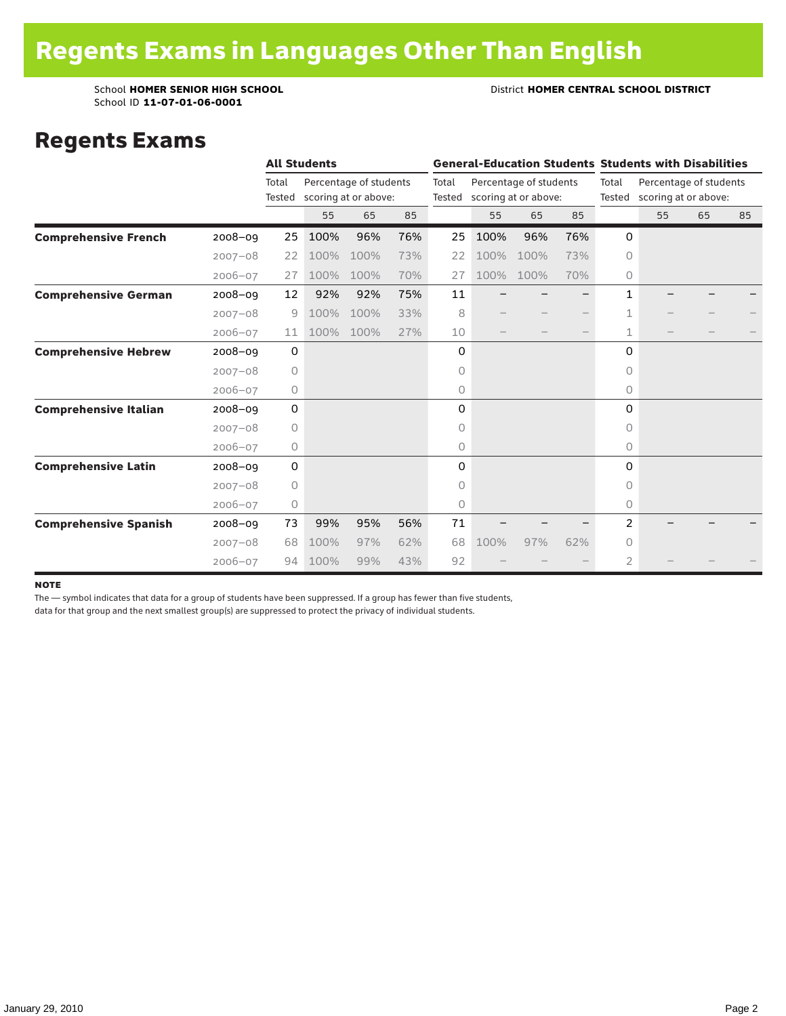School ID **11-07-01-06-0001**

School **HOMER SENIOR HIGH SCHOOL** District **HOMER CENTRAL SCHOOL DISTRICT**

### Regents Exams

|                              |             | <b>All Students</b> |      |                                                |     |                                                                   | <b>General-Education Students Students with Disabilities</b> |      |                 |                                                |    |    |    |
|------------------------------|-------------|---------------------|------|------------------------------------------------|-----|-------------------------------------------------------------------|--------------------------------------------------------------|------|-----------------|------------------------------------------------|----|----|----|
|                              |             | Total<br>Tested     |      | Percentage of students<br>scoring at or above: |     | Total<br>Percentage of students<br>scoring at or above:<br>Tested |                                                              |      | Total<br>Tested | Percentage of students<br>scoring at or above: |    |    |    |
|                              |             |                     | 55   | 65                                             | 85  |                                                                   | 55                                                           | 65   | 85              |                                                | 55 | 65 | 85 |
| <b>Comprehensive French</b>  | 2008-09     | 25                  | 100% | 96%                                            | 76% | 25                                                                | 100%                                                         | 96%  | 76%             | $\mathbf 0$                                    |    |    |    |
|                              | $2007 - 08$ | 22                  | 100% | 100%                                           | 73% | 22                                                                | 100%                                                         | 100% | 73%             | 0                                              |    |    |    |
|                              | $2006 - 07$ | 27                  | 100% | 100%                                           | 70% | 27                                                                | 100%                                                         | 100% | 70%             | 0                                              |    |    |    |
| <b>Comprehensive German</b>  | 2008-09     | 12                  | 92%  | 92%                                            | 75% | 11                                                                |                                                              |      |                 | $\mathbf{1}$                                   |    |    |    |
|                              | $2007 - 08$ | 9                   | 100% | 100%                                           | 33% | 8                                                                 |                                                              |      |                 | 1                                              |    |    |    |
|                              | $2006 - 07$ | 11                  | 100% | 100%                                           | 27% | 10                                                                |                                                              |      |                 | 1                                              |    |    |    |
| <b>Comprehensive Hebrew</b>  | $2008 - 09$ | $\mathsf O$         |      |                                                |     | 0                                                                 |                                                              |      |                 | 0                                              |    |    |    |
|                              | $2007 - 08$ | $\circ$             |      |                                                |     | 0                                                                 |                                                              |      |                 | $\Omega$                                       |    |    |    |
|                              | $2006 - 07$ | 0                   |      |                                                |     | 0                                                                 |                                                              |      |                 | 0                                              |    |    |    |
| <b>Comprehensive Italian</b> | 2008-09     | 0                   |      |                                                |     | 0                                                                 |                                                              |      |                 | 0                                              |    |    |    |
|                              | $2007 - 08$ | 0                   |      |                                                |     | 0                                                                 |                                                              |      |                 | 0                                              |    |    |    |
|                              | $2006 - 07$ | 0                   |      |                                                |     | 0                                                                 |                                                              |      |                 | 0                                              |    |    |    |
| <b>Comprehensive Latin</b>   | 2008-09     | 0                   |      |                                                |     | 0                                                                 |                                                              |      |                 | 0                                              |    |    |    |
|                              | $2007 - 08$ | 0                   |      |                                                |     | 0                                                                 |                                                              |      |                 | $\bigcap$                                      |    |    |    |
|                              | $2006 - 07$ | $\circ$             |      |                                                |     | 0                                                                 |                                                              |      |                 | $\circ$                                        |    |    |    |
| <b>Comprehensive Spanish</b> | 2008-09     | 73                  | 99%  | 95%                                            | 56% | 71                                                                |                                                              |      |                 | $\overline{2}$                                 |    |    |    |
|                              | $2007 - 08$ | 68                  | 100% | 97%                                            | 62% | 68                                                                | 100%                                                         | 97%  | 62%             | $\Omega$                                       |    |    |    |
|                              | $2006 - 07$ | 94                  | 100% | 99%                                            | 43% | 92                                                                |                                                              |      |                 | $\overline{2}$                                 |    |    |    |

#### note

The — symbol indicates that data for a group of students have been suppressed. If a group has fewer than five students,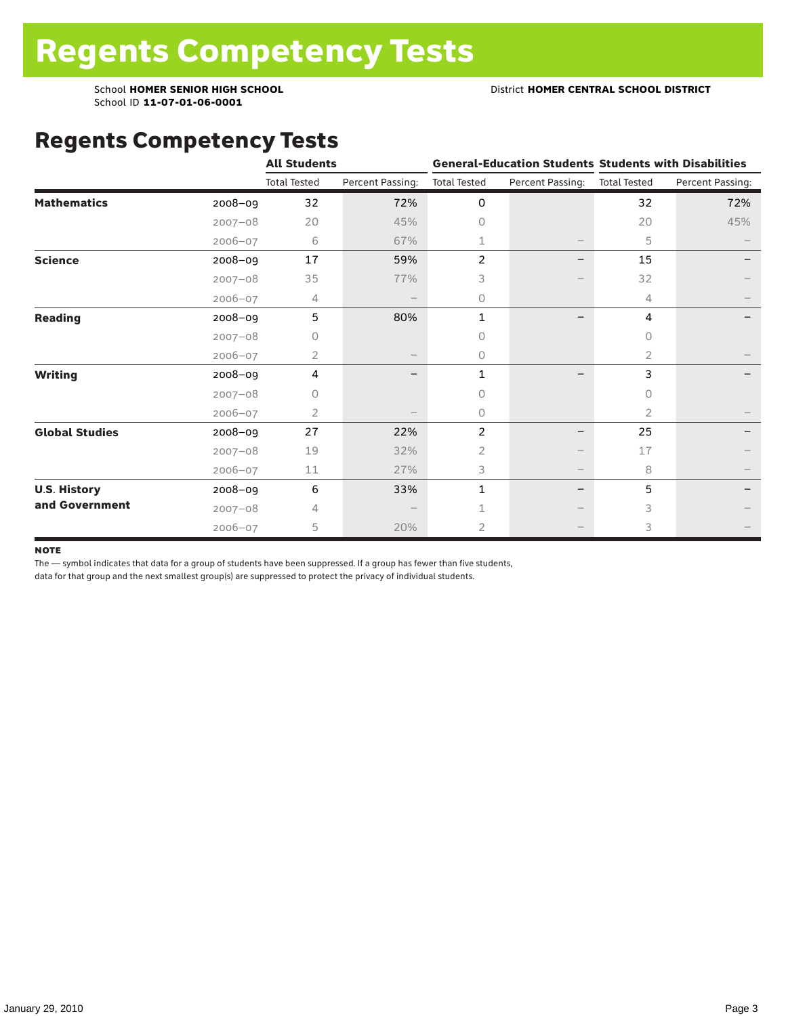School ID **11-07-01-06-0001**

## Regents Competency Tests

|                       |             | <b>All Students</b> |                  |                     |                                 | <b>General-Education Students Students with Disabilities</b> |                  |  |
|-----------------------|-------------|---------------------|------------------|---------------------|---------------------------------|--------------------------------------------------------------|------------------|--|
|                       |             | <b>Total Tested</b> | Percent Passing: | <b>Total Tested</b> | Percent Passing:                | <b>Total Tested</b>                                          | Percent Passing: |  |
| <b>Mathematics</b>    | 2008-09     | 32                  | 72%              | 0                   |                                 | 32                                                           | 72%              |  |
|                       | $2007 - 08$ | 20                  | 45%              | $\circ$             |                                 | 20                                                           | 45%              |  |
|                       | $2006 - 07$ | 6                   | 67%              | 1                   |                                 | 5                                                            |                  |  |
| <b>Science</b>        | 2008-09     | 17                  | 59%              | 2                   |                                 | 15                                                           |                  |  |
|                       | $2007 - 08$ | 35                  | 77%              | 3                   |                                 | 32                                                           |                  |  |
|                       | $2006 - 07$ | 4                   |                  | 0                   |                                 | 4                                                            |                  |  |
| <b>Reading</b>        | 2008-09     | 5                   | 80%              | $\mathbf{1}$        |                                 | 4                                                            |                  |  |
|                       | $2007 - 08$ | U                   |                  | 0                   |                                 | <sup>n</sup>                                                 |                  |  |
|                       | 2006-07     | $\overline{2}$      |                  | $\circ$             |                                 | 2                                                            |                  |  |
| <b>Writing</b>        | 2008-09     | 4                   |                  | 1                   |                                 | 3                                                            |                  |  |
|                       | $2007 - 08$ | 0                   |                  | 0                   |                                 | 0                                                            |                  |  |
|                       | $2006 - 07$ | 2                   |                  | $\circ$             |                                 | 2                                                            |                  |  |
| <b>Global Studies</b> | 2008-09     | 27                  | 22%              | 2                   |                                 | 25                                                           |                  |  |
|                       | $2007 - 08$ | 19                  | 32%              | $\overline{2}$      |                                 | 17                                                           |                  |  |
|                       | $2006 - 07$ | 11                  | 27%              | 3                   | $\hspace{0.1mm}-\hspace{0.1mm}$ | 8                                                            |                  |  |
| <b>U.S. History</b>   | 2008-09     | 6                   | 33%              | 1                   |                                 | 5                                                            |                  |  |
| and Government        | $2007 - 08$ | 4                   |                  |                     |                                 | 3                                                            |                  |  |
|                       | $2006 - 07$ | 5                   | 20%              | 2                   |                                 | 3                                                            |                  |  |

#### **NOTE**

The — symbol indicates that data for a group of students have been suppressed. If a group has fewer than five students,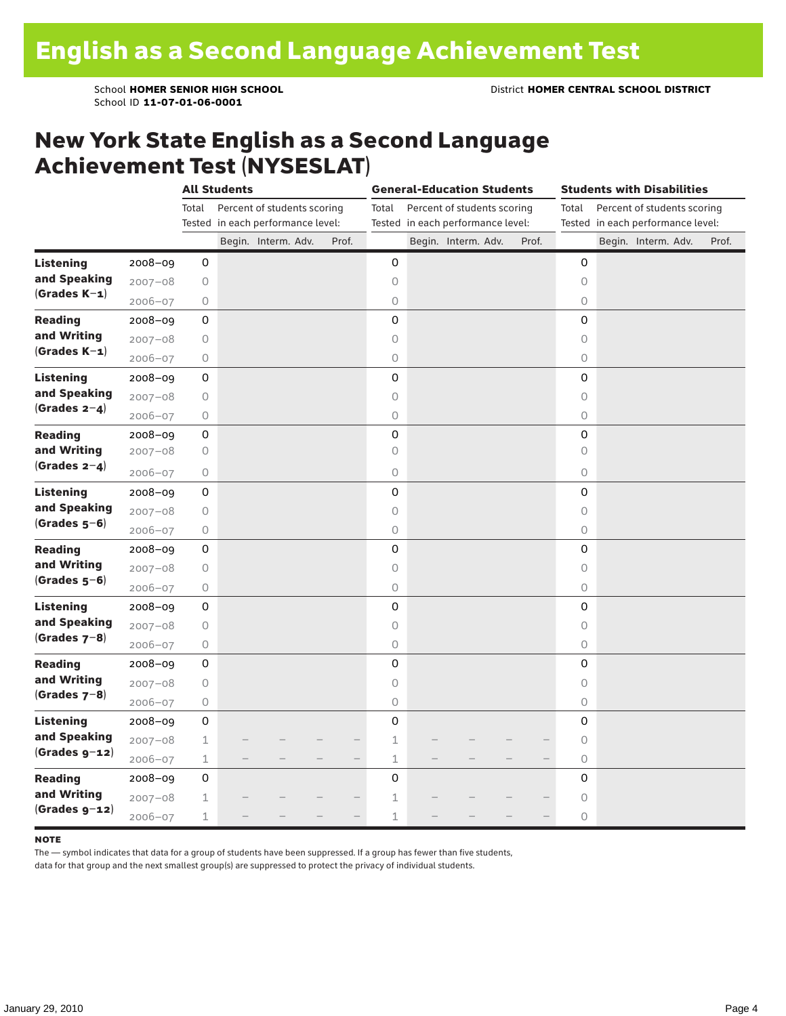### New York State English as a Second Language Achievement Test (NYSESLAT)

|                  |             | <b>All Students</b> |  |                                   |  | <b>General-Education Students</b> |             |  |                                   |  | <b>Students with Disabilities</b> |                     |                                   |  |                             |       |
|------------------|-------------|---------------------|--|-----------------------------------|--|-----------------------------------|-------------|--|-----------------------------------|--|-----------------------------------|---------------------|-----------------------------------|--|-----------------------------|-------|
|                  |             | Total               |  | Percent of students scoring       |  |                                   | Total       |  | Percent of students scoring       |  |                                   | Total               |                                   |  | Percent of students scoring |       |
|                  |             |                     |  | Tested in each performance level: |  |                                   |             |  | Tested in each performance level: |  |                                   |                     | Tested in each performance level: |  |                             |       |
|                  |             |                     |  | Begin. Interm. Adv.               |  | Prof.                             |             |  | Begin. Interm. Adv.               |  | Prof.                             |                     |                                   |  | Begin. Interm. Adv.         | Prof. |
| <b>Listening</b> | $2008 - 09$ | 0                   |  |                                   |  |                                   | 0           |  |                                   |  |                                   | 0                   |                                   |  |                             |       |
| and Speaking     | $2007 - 08$ | $\bigcirc$          |  |                                   |  |                                   | $\circ$     |  |                                   |  |                                   | $\circ$             |                                   |  |                             |       |
| $(Grades K-1)$   | $2006 - 07$ | 0                   |  |                                   |  |                                   | $\bigcirc$  |  |                                   |  |                                   | $\circlearrowright$ |                                   |  |                             |       |
| <b>Reading</b>   | 2008-09     | 0                   |  |                                   |  |                                   | 0           |  |                                   |  |                                   | 0                   |                                   |  |                             |       |
| and Writing      | $2007 - 08$ | $\bigcirc$          |  |                                   |  |                                   | $\circ$     |  |                                   |  |                                   | $\circ$             |                                   |  |                             |       |
| $(Grades K-1)$   | $2006 - 07$ | $\bigcirc$          |  |                                   |  |                                   | $\circ$     |  |                                   |  |                                   | $\circ$             |                                   |  |                             |       |
| <b>Listening</b> | 2008-09     | 0                   |  |                                   |  |                                   | 0           |  |                                   |  |                                   | $\mathbf 0$         |                                   |  |                             |       |
| and Speaking     | $2007 - 08$ | 0                   |  |                                   |  |                                   | $\circ$     |  |                                   |  |                                   | $\circ$             |                                   |  |                             |       |
| (Grades $2-4$ )  | $2006 - 07$ | 0                   |  |                                   |  |                                   | $\bigcirc$  |  |                                   |  |                                   | $\circ$             |                                   |  |                             |       |
| <b>Reading</b>   | 2008-09     | $\mathsf 0$         |  |                                   |  |                                   | 0           |  |                                   |  |                                   | 0                   |                                   |  |                             |       |
| and Writing      | $2007 - 08$ | $\bigcirc$          |  |                                   |  |                                   | $\circ$     |  |                                   |  |                                   | $\circ$             |                                   |  |                             |       |
| (Grades $2-4$ )  | $2006 - 07$ | 0                   |  |                                   |  |                                   | $\circ$     |  |                                   |  |                                   | $\circ$             |                                   |  |                             |       |
| <b>Listening</b> | 2008-09     | 0                   |  |                                   |  |                                   | 0           |  |                                   |  |                                   | 0                   |                                   |  |                             |       |
| and Speaking     | $2007 - 08$ | $\bigcirc$          |  |                                   |  |                                   | $\circ$     |  |                                   |  |                                   | $\circ$             |                                   |  |                             |       |
| $(Grades 5-6)$   | $2006 - 07$ | $\bigcirc$          |  |                                   |  |                                   | $\circ$     |  |                                   |  |                                   | $\circ$             |                                   |  |                             |       |
| <b>Reading</b>   | $2008 - 09$ | $\mathsf 0$         |  |                                   |  |                                   | 0           |  |                                   |  |                                   | 0                   |                                   |  |                             |       |
| and Writing      | $2007 - 08$ | 0                   |  |                                   |  |                                   | 0           |  |                                   |  |                                   | 0                   |                                   |  |                             |       |
| $(Grades 5-6)$   | $2006 - 07$ | $\bigcirc$          |  |                                   |  |                                   | $\bigcirc$  |  |                                   |  |                                   | $\circlearrowright$ |                                   |  |                             |       |
| <b>Listening</b> | $2008 - 09$ | 0                   |  |                                   |  |                                   | 0           |  |                                   |  |                                   | 0                   |                                   |  |                             |       |
| and Speaking     | $2007 - 08$ | $\bigcirc$          |  |                                   |  |                                   | $\circ$     |  |                                   |  |                                   | $\circ$             |                                   |  |                             |       |
| $(Grades 7-8)$   | $2006 - 07$ | $\bigcirc$          |  |                                   |  |                                   | $\bigcirc$  |  |                                   |  |                                   | $\circlearrowright$ |                                   |  |                             |       |
| <b>Reading</b>   | 2008-09     | 0                   |  |                                   |  |                                   | 0           |  |                                   |  |                                   | 0                   |                                   |  |                             |       |
| and Writing      | $2007 - 08$ | $\bigcirc$          |  |                                   |  |                                   | $\circ$     |  |                                   |  |                                   | $\circ$             |                                   |  |                             |       |
| $(Grades 7-8)$   | $2006 - 07$ | $\bigcirc$          |  |                                   |  |                                   | $\circ$     |  |                                   |  |                                   | $\circ$             |                                   |  |                             |       |
| <b>Listening</b> | $2008 - 09$ | 0                   |  |                                   |  |                                   | 0           |  |                                   |  |                                   | 0                   |                                   |  |                             |       |
| and Speaking     | $2007 - 08$ | 1                   |  |                                   |  |                                   | $\mathbf 1$ |  |                                   |  |                                   | 0                   |                                   |  |                             |       |
| $(Grades g-12)$  | $2006 - 07$ | $\mathbf 1$         |  |                                   |  | $-$                               | $\mathbf 1$ |  |                                   |  |                                   | $\circ$             |                                   |  |                             |       |
| <b>Reading</b>   | $2008 - 09$ | 0                   |  |                                   |  |                                   | 0           |  |                                   |  |                                   | 0                   |                                   |  |                             |       |
| and Writing      | $2007 - 08$ | 1                   |  |                                   |  |                                   | $\mathbf 1$ |  |                                   |  |                                   | $\circlearrowright$ |                                   |  |                             |       |
| $(Grades g-12)$  | $2006 - 07$ | 1                   |  |                                   |  |                                   | $\mathbf 1$ |  |                                   |  |                                   | $\circ$             |                                   |  |                             |       |

#### **NOTE**

The — symbol indicates that data for a group of students have been suppressed. If a group has fewer than five students,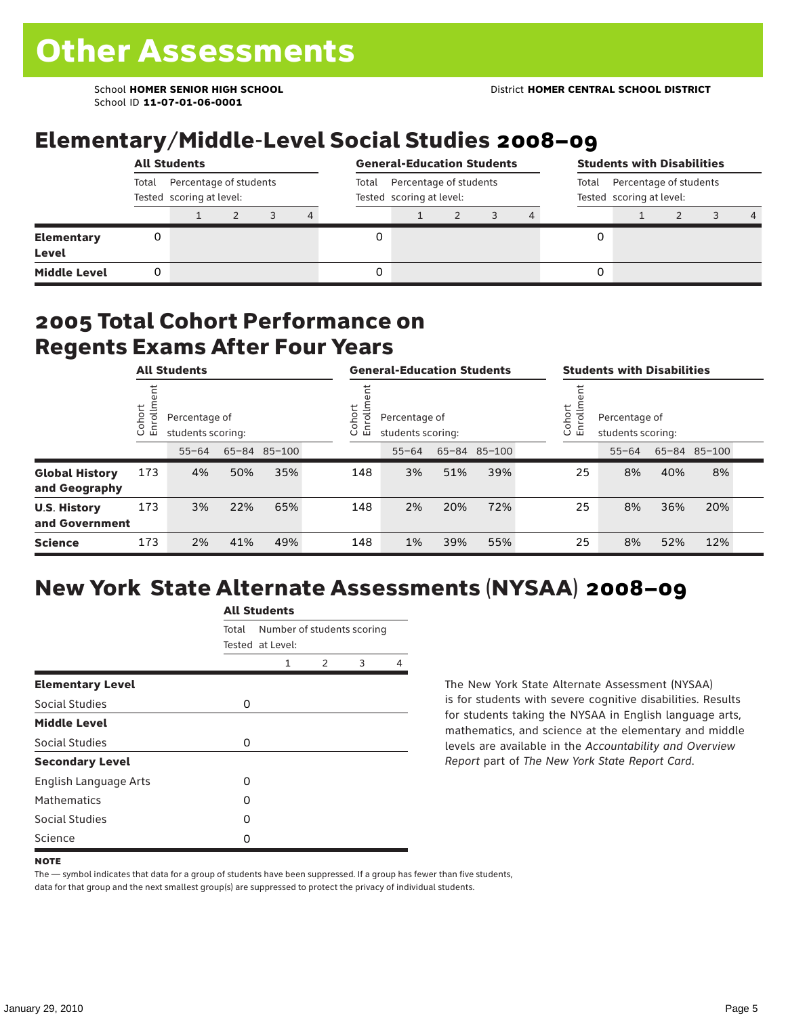School ID **11-07-01-06-0001**

# Elementary/Middle-Level Social Studies 2008–09

|                            | <b>All Students</b>                                         |  |  |  |                                                             |  | <b>General-Education Students</b> |  |                                                             |  |   | <b>Students with Disabilities</b> |  |  |                |  |  |
|----------------------------|-------------------------------------------------------------|--|--|--|-------------------------------------------------------------|--|-----------------------------------|--|-------------------------------------------------------------|--|---|-----------------------------------|--|--|----------------|--|--|
|                            | Percentage of students<br>Total<br>Tested scoring at level: |  |  |  | Percentage of students<br>Total<br>Tested scoring at level: |  |                                   |  | Percentage of students<br>Total<br>Tested scoring at level: |  |   |                                   |  |  |                |  |  |
|                            |                                                             |  |  |  | 4                                                           |  |                                   |  |                                                             |  |   |                                   |  |  | $\overline{a}$ |  |  |
| <b>Elementary</b><br>Level | 0                                                           |  |  |  |                                                             |  |                                   |  |                                                             |  |   |                                   |  |  |                |  |  |
| <b>Middle Level</b>        | 0                                                           |  |  |  |                                                             |  |                                   |  |                                                             |  | 0 |                                   |  |  |                |  |  |

### 2005 Total Cohort Performance on Regents Exams After Four Years

|                                        | <b>All Students</b>     |           |                                    |              |  | <b>General-Education Students</b> |                                                              |     |              |  | <b>Students with Disabilities</b>                      |           |     |              |  |
|----------------------------------------|-------------------------|-----------|------------------------------------|--------------|--|-----------------------------------|--------------------------------------------------------------|-----|--------------|--|--------------------------------------------------------|-----------|-----|--------------|--|
|                                        | Cohort<br>$\circ$<br>「四 |           | Percentage of<br>students scoring: |              |  |                                   | Cohort<br>≣<br>Percentage of<br>ò,<br>모<br>students scoring: |     |              |  | Cohort<br>Percentage of<br>S<br>문<br>students scoring: |           |     |              |  |
|                                        |                         | $55 - 64$ |                                    | 65-84 85-100 |  |                                   | $55 - 64$                                                    |     | 65-84 85-100 |  |                                                        | $55 - 64$ |     | 65-84 85-100 |  |
| <b>Global History</b><br>and Geography | 173                     | 4%        | 50%                                | 35%          |  | 148                               | 3%                                                           | 51% | 39%          |  | 25                                                     | 8%        | 40% | 8%           |  |
| <b>U.S. History</b><br>and Government  | 173                     | 3%        | 22%                                | 65%          |  | 148                               | 2%                                                           | 20% | 72%          |  | 25                                                     | 8%        | 36% | 20%          |  |
| <b>Science</b>                         | 173                     | 2%        | 41%                                | 49%          |  | 148                               | 1%                                                           | 39% | 55%          |  | 25                                                     | 8%        | 52% | 12%          |  |

# New York State Alternate Assessments (NYSAA) 2008–09

|                              | <b>All Students</b> |                  |               |                            |   |  |  |  |  |  |
|------------------------------|---------------------|------------------|---------------|----------------------------|---|--|--|--|--|--|
|                              | Total               | Tested at Level: |               | Number of students scoring |   |  |  |  |  |  |
|                              |                     | 1                | $\mathcal{P}$ | 3                          | 4 |  |  |  |  |  |
| <b>Elementary Level</b>      |                     |                  |               |                            |   |  |  |  |  |  |
| Social Studies               | 0                   |                  |               |                            |   |  |  |  |  |  |
| <b>Middle Level</b>          |                     |                  |               |                            |   |  |  |  |  |  |
| Social Studies               | 0                   |                  |               |                            |   |  |  |  |  |  |
| <b>Secondary Level</b>       |                     |                  |               |                            |   |  |  |  |  |  |
| <b>English Language Arts</b> | O                   |                  |               |                            |   |  |  |  |  |  |
| <b>Mathematics</b>           | Ω                   |                  |               |                            |   |  |  |  |  |  |
| Social Studies               | O                   |                  |               |                            |   |  |  |  |  |  |
| Science                      | Ω                   |                  |               |                            |   |  |  |  |  |  |

The New York State Alternate Assessment (NYSAA) is for students with severe cognitive disabilities. Results for students taking the NYSAA in English language arts, mathematics, and science at the elementary and middle levels are available in the *Accountability and Overview Report* part of *The New York State Report Card*.

The — symbol indicates that data for a group of students have been suppressed. If a group has fewer than five students, data for that group and the next smallest group(s) are suppressed to protect the privacy of individual students.

**NOTE**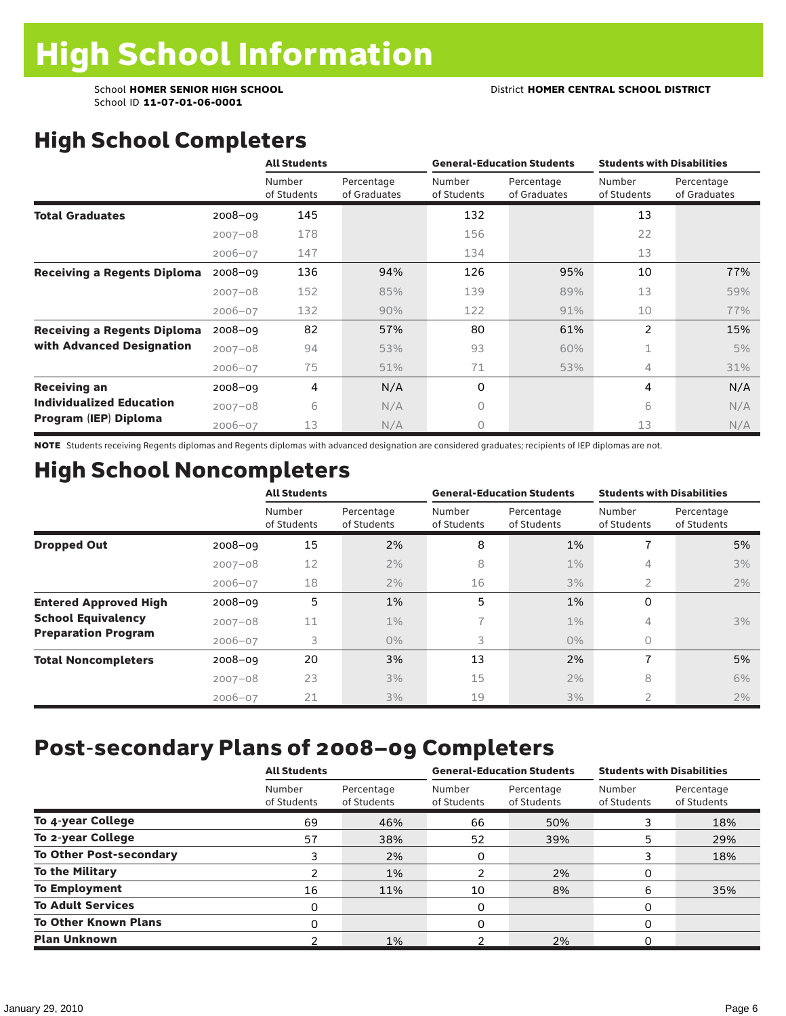School ID **11-07-01-06-0001**

# High School Completers

|                                    |             | <b>All Students</b>   |                            |                       | <b>General-Education Students</b> | <b>Students with Disabilities</b> |                            |  |
|------------------------------------|-------------|-----------------------|----------------------------|-----------------------|-----------------------------------|-----------------------------------|----------------------------|--|
|                                    |             | Number<br>of Students | Percentage<br>of Graduates | Number<br>of Students | Percentage<br>of Graduates        | Number<br>of Students             | Percentage<br>of Graduates |  |
| <b>Total Graduates</b>             | $2008 - 09$ | 145                   |                            | 132                   |                                   | 13                                |                            |  |
|                                    | $2007 - 08$ | 178                   |                            | 156                   |                                   | 22                                |                            |  |
|                                    | $2006 - 07$ | 147                   |                            | 134                   |                                   | 13                                |                            |  |
| <b>Receiving a Regents Diploma</b> | $2008 - 09$ | 136                   | 94%                        | 126                   | 95%                               | 10                                | 77%                        |  |
|                                    | $2007 - 08$ | 152                   | 85%                        | 139                   | 89%                               | 13                                | 59%                        |  |
|                                    | $2006 - 07$ | 132                   | 90%                        | 122                   | 91%                               | 10                                | 77%                        |  |
| <b>Receiving a Regents Diploma</b> | $2008 - 09$ | 82                    | 57%                        | 80                    | 61%                               | $\overline{2}$                    | 15%                        |  |
| with Advanced Designation          | $2007 - 08$ | 94                    | 53%                        | 93                    | 60%                               | 1                                 | 5%                         |  |
|                                    | $2006 - 07$ | 75                    | 51%                        | 71                    | 53%                               | 4                                 | 31%                        |  |
| <b>Receiving an</b>                | 2008-09     | 4                     | N/A                        | 0                     |                                   | 4                                 | N/A                        |  |
| <b>Individualized Education</b>    | $2007 - 08$ | 6                     | N/A                        | $\circ$               |                                   | 6                                 | N/A                        |  |
| Program (IEP) Diploma              | $2006 - 07$ | 13                    | N/A                        | $\circ$               |                                   | 13                                | N/A                        |  |

NOTE Students receiving Regents diplomas and Regents diplomas with advanced designation are considered graduates; recipients of IEP diplomas are not.

# High School Noncompleters

|                              |             | <b>All Students</b>   |                           |                       | <b>General-Education Students</b> | <b>Students with Disabilities</b> |                           |  |
|------------------------------|-------------|-----------------------|---------------------------|-----------------------|-----------------------------------|-----------------------------------|---------------------------|--|
|                              |             | Number<br>of Students | Percentage<br>of Students | Number<br>of Students | Percentage<br>of Students         | Number<br>of Students             | Percentage<br>of Students |  |
| <b>Dropped Out</b>           | $2008 - 09$ | 15                    | 2%                        | 8                     | 1%                                |                                   | 5%                        |  |
|                              | $2007 - 08$ | 12                    | 2%                        | 8                     | $1\%$                             | 4                                 | 3%                        |  |
|                              | $2006 - 07$ | 18                    | $2\%$                     | 16                    | 3%                                | 2                                 | 2%                        |  |
| <b>Entered Approved High</b> | $2008 - 09$ | 5                     | 1%                        | 5                     | 1%                                | 0                                 |                           |  |
| <b>School Equivalency</b>    | $2007 - 08$ | 11                    | $1\%$                     | 7                     | $1\%$                             | 4                                 | $3\%$                     |  |
| <b>Preparation Program</b>   | $2006 - 07$ | 3                     | $0\%$                     | 3                     | $0\%$                             | 0                                 |                           |  |
| <b>Total Noncompleters</b>   | $2008 - 09$ | 20                    | 3%                        | 13                    | 2%                                | $\overline{\phantom{a}}$          | 5%                        |  |
|                              | $2007 - 08$ | 23                    | 3%                        | 15                    | 2%                                | 8                                 | 6%                        |  |
|                              | $2006 - 07$ | 21                    | 3%                        | 19                    | 3%                                | $\overline{2}$                    | 2%                        |  |

## Post-secondary Plans of 2008–09 Completers

|                                | <b>All Students</b>   |                           |                       | <b>General-Education Students</b> | <b>Students with Disabilities</b> |                           |  |
|--------------------------------|-----------------------|---------------------------|-----------------------|-----------------------------------|-----------------------------------|---------------------------|--|
|                                | Number<br>of Students | Percentage<br>of Students | Number<br>of Students | Percentage<br>of Students         | Number<br>of Students             | Percentage<br>of Students |  |
| To 4-year College              | 69                    | 46%                       | 66                    | 50%                               |                                   | 18%                       |  |
| To 2-year College              | 57                    | 38%                       | 52                    | 39%                               | 5                                 | 29%                       |  |
| <b>To Other Post-secondary</b> | 3                     | 2%                        | 0                     |                                   |                                   | 18%                       |  |
| <b>To the Military</b>         |                       | 1%                        |                       | 2%                                | 0                                 |                           |  |
| <b>To Employment</b>           | 16                    | 11%                       | 10                    | 8%                                | 6                                 | 35%                       |  |
| <b>To Adult Services</b>       | 0                     |                           | 0                     |                                   | 0                                 |                           |  |
| <b>To Other Known Plans</b>    | 0                     |                           | 0                     |                                   | 0                                 |                           |  |
| <b>Plan Unknown</b>            |                       | 1%                        |                       | 2%                                | 0                                 |                           |  |